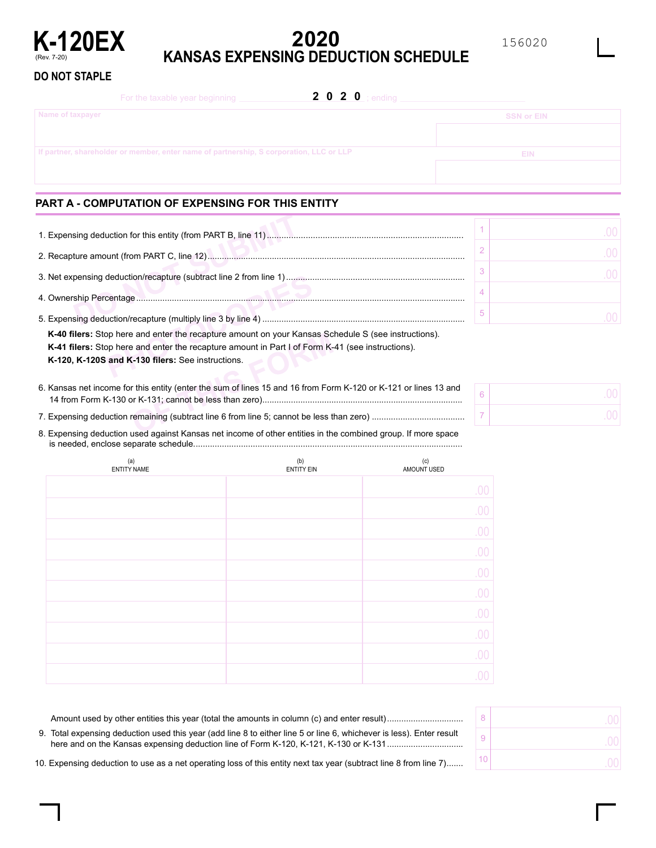

# **2020 K-120EX**<br>KANSAS EXPENSING DEDUCTION SCHEDULE

156020

#### **DO NOT STAPLE**

| <b>2 0 2 0</b> ; ending<br>For the taxable year beginning                               |                   |
|-----------------------------------------------------------------------------------------|-------------------|
| Name of taxpayer                                                                        | <b>SSN or EIN</b> |
|                                                                                         |                   |
| If partner, shareholder or member, enter name of partnership, S corporation, LLC or LLP | <b>EIN</b>        |
|                                                                                         |                   |

### **PART A - COMPUTATION OF EXPENSING FOR THIS ENTITY**

| <b>K-40 filers:</b> Stop here and enter the recapture amount on your Kansas Schedule S (see instructions). |  |
|------------------------------------------------------------------------------------------------------------|--|
| <b>K-41 filers:</b> Stop here and enter the recapture amount in Part I of Form K-41 (see instructions).    |  |
| K-120, K-120S and K-130 filers: See instructions.                                                          |  |
|                                                                                                            |  |
|                                                                                                            |  |

**Example 18 and enter the recapture amount on your Kansas Sc and enter the recapture amount in Part I of Form K-4-130 filers: See instructions.<br>
This entity (enter the sum of lines 15 and 16 from Form K-131; cannot be less** .................................................................................... 14 from Form K-130 or K-131; cannot be less than zero) 6. Kansas net income for this entity (enter the sum of lines 15 and 16 from Form K-120 or K-121 or lines 13 and

....................................... 7. Expensing deduction remaining (subtract line 6 from line 5; cannot be less than zero)

................................................................................................................. is needed, enclose separate schedule 8. Expensing deduction used against Kansas net income of other entities in the combined group. If more space

| (a)<br><b>ENTITY NAME</b> | (b)<br><b>ENTITY EIN</b> | (c)<br>AMOUNT USED |
|---------------------------|--------------------------|--------------------|
|                           |                          | .00.               |
|                           |                          | .00                |
|                           |                          | .00                |
|                           |                          | .00                |
|                           |                          | .00                |
|                           |                          | .00                |
|                           |                          | .00                |
|                           |                          | .00                |
|                           |                          | .00                |
|                           |                          | 00                 |

| 9. Total expensing deduction used this year (add line 8 to either line 5 or line 6, whichever is less). Enter result |  |
|----------------------------------------------------------------------------------------------------------------------|--|
| 10. Expensing deduction to use as a net operating loss of this entity next tax year (subtract line 8 from line 7)    |  |

6 7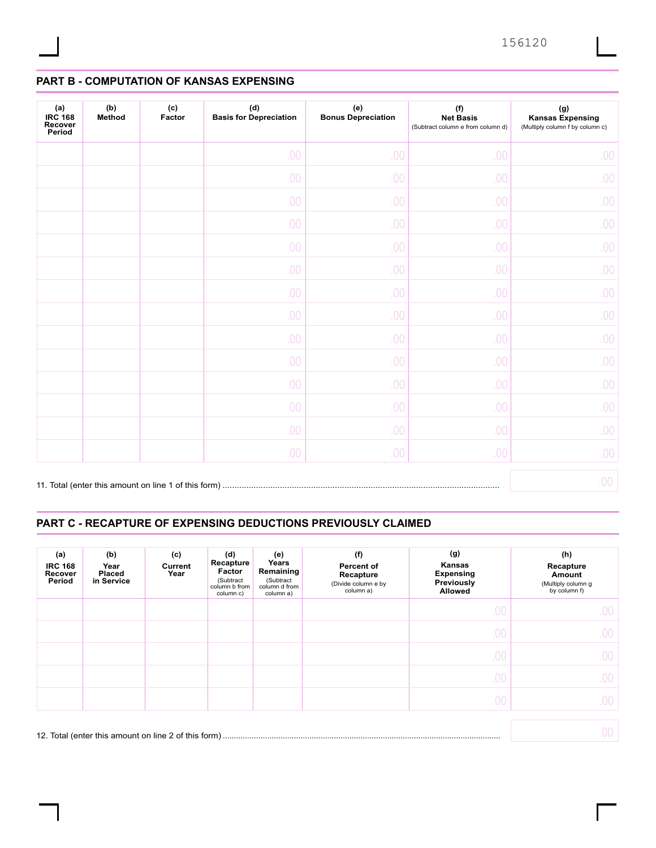## **PART B - COMPUTATION OF KANSAS EXPENSING**

| (a)<br><b>IRC 168</b><br>Recover<br>Period | (b)<br>Method | (c)<br>Factor | $(\mathsf{d})$<br><b>Basis for Depreciation</b> | (e)<br><b>Bonus Depreciation</b> | (f)<br><b>Net Basis</b><br>(Subtract column e from column d) | $(\mathsf{g})$<br><b>Kansas Expensing</b><br>(Multiply column f by column c) |
|--------------------------------------------|---------------|---------------|-------------------------------------------------|----------------------------------|--------------------------------------------------------------|------------------------------------------------------------------------------|
|                                            |               |               | .00                                             | .00                              | .00                                                          | 00.                                                                          |
|                                            |               |               | .00                                             | .00                              | .00                                                          | 00.                                                                          |
|                                            |               |               | .00                                             | .00                              | .00                                                          | 00.                                                                          |
|                                            |               |               | .00                                             | .00                              | .00                                                          | 00.                                                                          |
|                                            |               |               | .00                                             | .00                              | .00                                                          | 00.                                                                          |
|                                            |               |               | .00                                             | .00                              | .00                                                          | 00.                                                                          |
|                                            |               |               | .00                                             | .00                              | .00                                                          | 00.                                                                          |
|                                            |               |               | .00                                             | .00                              | .00                                                          | 00.                                                                          |
|                                            |               |               | .00                                             | .00                              | .00                                                          | 00.                                                                          |
|                                            |               |               | .00                                             | .00                              | .00                                                          | 00.                                                                          |
|                                            |               |               | .00                                             | .00                              | .00                                                          | 00.                                                                          |
|                                            |               |               | .00                                             | .00                              | .00                                                          | 00.                                                                          |
|                                            |               |               | .00                                             | .00                              | .00                                                          | 00.                                                                          |
|                                            |               |               | .00                                             | .00                              | .00                                                          | 00.                                                                          |
|                                            |               |               |                                                 |                                  |                                                              | 00.                                                                          |

#### **PART C - RECAPTURE OF EXPENSING DEDUCTIONS PREVIOUSLY CLAIMED**

| (a)<br><b>IRC 168</b><br>Recover<br>Period | (b)<br>Year<br><b>Placed</b><br>in Service | (c)<br>Current<br>Year | (d)<br>Recapture<br>Factor<br>(Subtract<br>column b from<br>column c) | (e)<br>Years<br>Remaining<br>(Subtract<br>column d from<br>column a) | (f)<br><b>Percent of</b><br>Recapture<br>(Divide column e by<br>column a) | (g)<br>Kansas<br><b>Expensing</b><br>Previously<br><b>Allowed</b> | (h)<br>Recapture<br>Amount<br>(Multiply column g<br>by column f) |
|--------------------------------------------|--------------------------------------------|------------------------|-----------------------------------------------------------------------|----------------------------------------------------------------------|---------------------------------------------------------------------------|-------------------------------------------------------------------|------------------------------------------------------------------|
|                                            |                                            |                        |                                                                       |                                                                      |                                                                           | .00                                                               | $00\,$                                                           |
|                                            |                                            |                        |                                                                       |                                                                      |                                                                           | .00                                                               | .00                                                              |
|                                            |                                            |                        |                                                                       |                                                                      |                                                                           | .00                                                               | .00                                                              |
|                                            |                                            |                        |                                                                       |                                                                      |                                                                           | .00                                                               | .00                                                              |
|                                            |                                            |                        |                                                                       |                                                                      |                                                                           | .00                                                               | .00                                                              |
|                                            |                                            |                        |                                                                       |                                                                      |                                                                           |                                                                   | .00                                                              |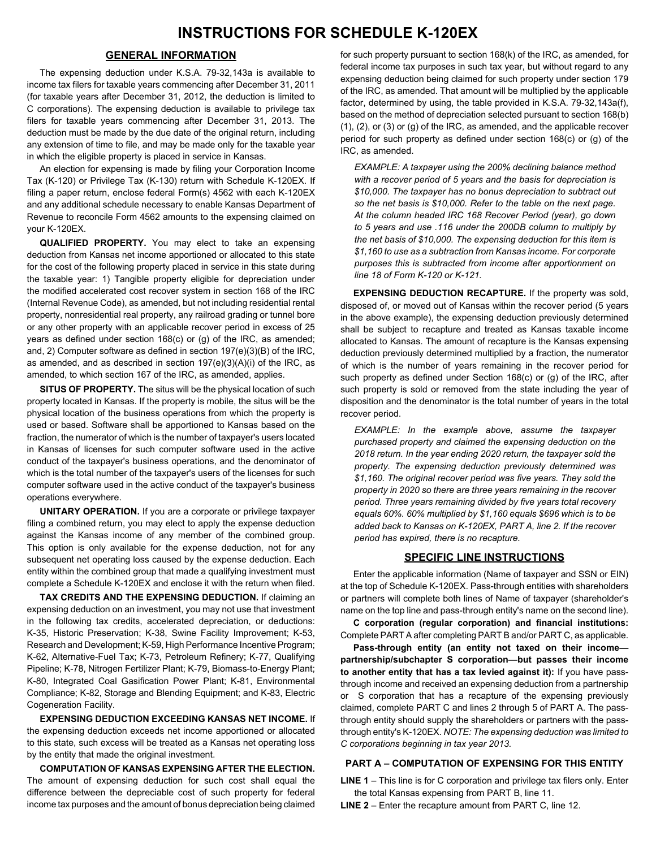#### **GENERAL INFORMATION**

The expensing deduction under K.S.A. 79-32,143a is available to income tax filers for taxable years commencing after December 31, 2011 (for taxable years after December 31, 2012, the deduction is limited to C corporations). The expensing deduction is available to privilege tax filers for taxable years commencing after December 31, 2013. The deduction must be made by the due date of the original return, including any extension of time to file, and may be made only for the taxable year in which the eligible property is placed in service in Kansas.

An election for expensing is made by filing your Corporation Income Tax (K-120) or Privilege Tax (K-130) return with Schedule K-120EX. If filing a paper return, enclose federal Form(s) 4562 with each K-120EX and any additional schedule necessary to enable Kansas Department of Revenue to reconcile Form 4562 amounts to the expensing claimed on your K-120EX.

**QUALIFIED PROPERTY.** You may elect to take an expensing deduction from Kansas net income apportioned or allocated to this state for the cost of the following property placed in service in this state during the taxable year: 1) Tangible property eligible for depreciation under the modified accelerated cost recover system in section 168 of the IRC (Internal Revenue Code), as amended, but not including residential rental property, nonresidential real property, any railroad grading or tunnel bore or any other property with an applicable recover period in excess of 25 years as defined under section 168(c) or (g) of the IRC, as amended; and, 2) Computer software as defined in section 197(e)(3)(B) of the IRC, as amended, and as described in section 197(e)(3)(A)(i) of the IRC, as amended, to which section 167 of the IRC, as amended, applies.

**SITUS OF PROPERTY.** The situs will be the physical location of such property located in Kansas. If the property is mobile, the situs will be the physical location of the business operations from which the property is used or based. Software shall be apportioned to Kansas based on the fraction, the numerator of which is the number of taxpayer's users located in Kansas of licenses for such computer software used in the active conduct of the taxpayer's business operations, and the denominator of which is the total number of the taxpayer's users of the licenses for such computer software used in the active conduct of the taxpayer's business operations everywhere.

**UNITARY OPERATION.** If you are a corporate or privilege taxpayer filing a combined return, you may elect to apply the expense deduction against the Kansas income of any member of the combined group. This option is only available for the expense deduction, not for any subsequent net operating loss caused by the expense deduction. Each entity within the combined group that made a qualifying investment must complete a Schedule K-120EX and enclose it with the return when filed.

**TAX CREDITS AND THE EXPENSING DEDUCTION.** If claiming an expensing deduction on an investment, you may not use that investment in the following tax credits, accelerated depreciation, or deductions: K-35, Historic Preservation; K-38, Swine Facility Improvement; K-53, Research and Development; K-59, High Performance Incentive Program; K-62, Alternative-Fuel Tax; K-73, Petroleum Refinery; K-77, Qualifying Pipeline; K-78, Nitrogen Fertilizer Plant; K-79, Biomass-to-Energy Plant; K-80, Integrated Coal Gasification Power Plant; K-81, Environmental Compliance; K-82, Storage and Blending Equipment; and K-83, Electric Cogeneration Facility.

**EXPENSING DEDUCTION EXCEEDING KANSAS NET INCOME.** If the expensing deduction exceeds net income apportioned or allocated to this state, such excess will be treated as a Kansas net operating loss by the entity that made the original investment.

**COMPUTATION OF KANSAS EXPENSING AFTER THE ELECTION.** The amount of expensing deduction for such cost shall equal the difference between the depreciable cost of such property for federal income tax purposes and the amount of bonus depreciation being claimed

for such property pursuant to section 168(k) of the IRC, as amended, for federal income tax purposes in such tax year, but without regard to any expensing deduction being claimed for such property under section 179 of the IRC, as amended. That amount will be multiplied by the applicable factor, determined by using, the table provided in K.S.A. 79-32,143a(f), based on the method of depreciation selected pursuant to section 168(b) (1), (2), or (3) or (g) of the IRC, as amended, and the applicable recover period for such property as defined under section 168(c) or (g) of the IRC, as amended.

*EXAMPLE: A taxpayer using the 200% declining balance method with a recover period of 5 years and the basis for depreciation is \$10,000. The taxpayer has no bonus depreciation to subtract out so the net basis is \$10,000. Refer to the table on the next page. At the column headed IRC 168 Recover Period (year), go down to 5 years and use .116 under the 200DB column to multiply by the net basis of \$10,000. The expensing deduction for this item is \$1,160 to use as a subtraction from Kansas income. For corporate purposes this is subtracted from income after apportionment on line 18 of Form K-120 or K-121.*

**EXPENSING DEDUCTION RECAPTURE.** If the property was sold, disposed of, or moved out of Kansas within the recover period (5 years in the above example), the expensing deduction previously determined shall be subject to recapture and treated as Kansas taxable income allocated to Kansas. The amount of recapture is the Kansas expensing deduction previously determined multiplied by a fraction, the numerator of which is the number of years remaining in the recover period for such property as defined under Section 168(c) or (g) of the IRC, after such property is sold or removed from the state including the year of disposition and the denominator is the total number of years in the total recover period.

*EXAMPLE: In the example above, assume the taxpayer purchased property and claimed the expensing deduction on the 2018 return. In the year ending 2020 return, the taxpayer sold the property. The expensing deduction previously determined was \$1,160. The original recover period was five years. They sold the property in 2020 so there are three years remaining in the recover period. Three years remaining divided by five years total recovery equals 60%. 60% multiplied by \$1,160 equals \$696 which is to be added back to Kansas on K-120EX, PART A, line 2. If the recover period has expired, there is no recapture.*

#### **SPECIFIC LINE INSTRUCTIONS**

Enter the applicable information (Name of taxpayer and SSN or EIN) at the top of Schedule K-120EX. Pass-through entities with shareholders or partners will complete both lines of Name of taxpayer (shareholder's name on the top line and pass-through entity's name on the second line).

**C corporation (regular corporation) and financial institutions:**  Complete PART A after completing PART B and/or PART C, as applicable.

**Pass-through entity (an entity not taxed on their income partnership/subchapter S corporation—but passes their income to another entity that has a tax levied against it):** If you have passthrough income and received an expensing deduction from a partnership or S corporation that has a recapture of the expensing previously claimed, complete PART C and lines 2 through 5 of PART A. The passthrough entity should supply the shareholders or partners with the passthrough entity's K-120EX. *NOTE: The expensing deduction was limited to C corporations beginning in tax year 2013.*

#### **PART A – COMPUTATION OF EXPENSING FOR THIS ENTITY**

**LINE 1** – This line is for C corporation and privilege tax filers only. Enter the total Kansas expensing from PART B, line 11.

**LINE 2** – Enter the recapture amount from PART C, line 12.